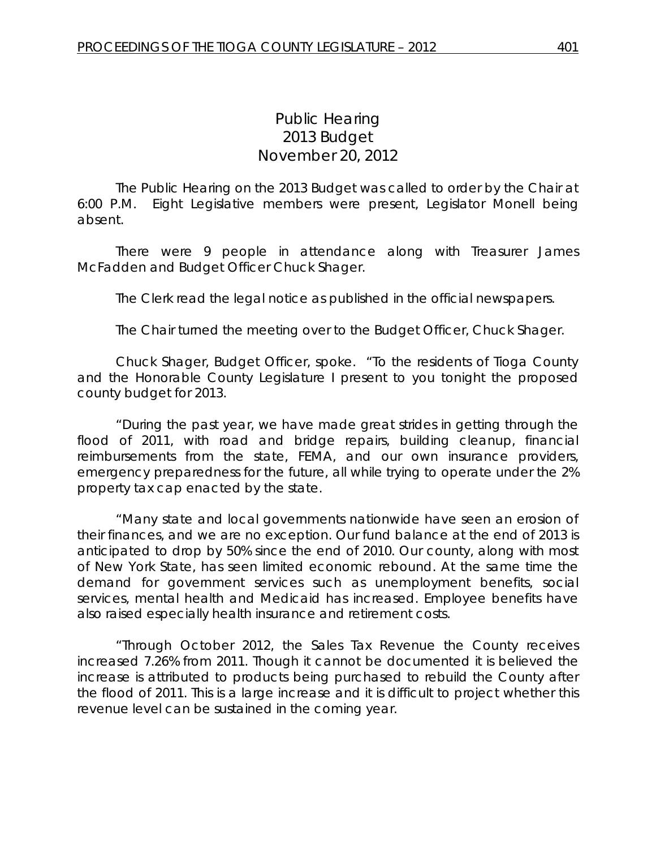## *Public Hearing 2013 Budget* November 20, 2012

The Public Hearing on the 2013 Budget was called to order by the Chair at 6:00 P.M. Eight Legislative members were present, Legislator Monell being absent.

There were 9 people in attendance along with Treasurer James McFadden and Budget Officer Chuck Shager.

The Clerk read the legal notice as published in the official newspapers.

The Chair turned the meeting over to the Budget Officer, Chuck Shager.

Chuck Shager, Budget Officer, spoke. "To the residents of Tioga County and the Honorable County Legislature I present to you tonight the proposed county budget for 2013.

"During the past year, we have made great strides in getting through the flood of 2011, with road and bridge repairs, building cleanup, financial reimbursements from the state, FEMA, and our own insurance providers, emergency preparedness for the future, all while trying to operate under the 2% property tax cap enacted by the state.

"Many state and local governments nationwide have seen an erosion of their finances, and we are no exception. Our fund balance at the end of 2013 is anticipated to drop by 50% since the end of 2010. Our county, along with most of New York State, has seen limited economic rebound. At the same time the demand for government services such as unemployment benefits, social services, mental health and Medicaid has increased. Employee benefits have also raised especially health insurance and retirement costs.

"Through October 2012, the Sales Tax Revenue the County receives increased 7.26% from 2011. Though it cannot be documented it is believed the increase is attributed to products being purchased to rebuild the County after the flood of 2011. This is a large increase and it is difficult to project whether this revenue level can be sustained in the coming year.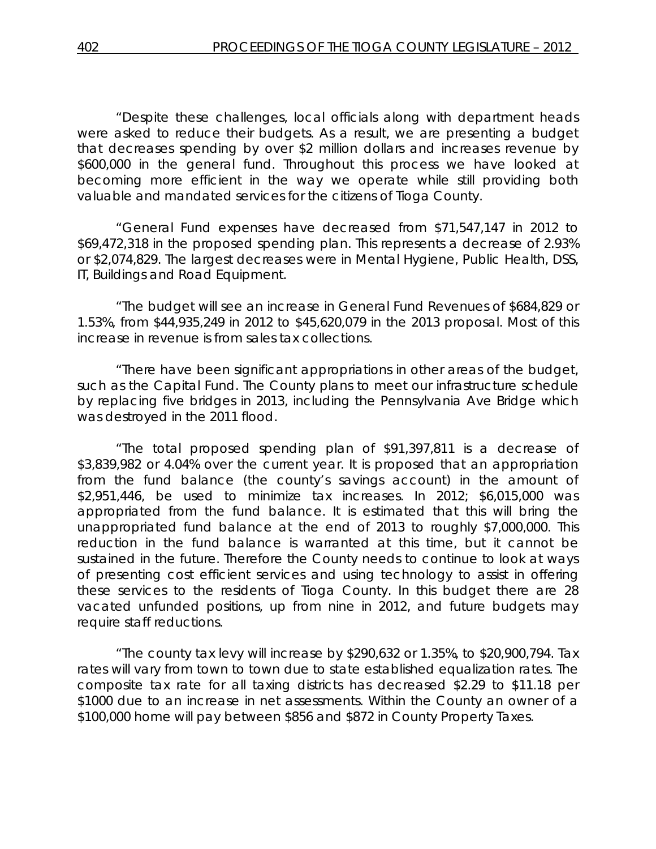"Despite these challenges, local officials along with department heads were asked to reduce their budgets. As a result, we are presenting a budget that decreases spending by over \$2 million dollars and increases revenue by \$600,000 in the general fund. Throughout this process we have looked at becoming more efficient in the way we operate while still providing both valuable and mandated services for the citizens of Tioga County.

"General Fund expenses have decreased from \$71,547,147 in 2012 to \$69,472,318 in the proposed spending plan. This represents a decrease of 2.93% or \$2,074,829. The largest decreases were in Mental Hygiene, Public Health, DSS, IT, Buildings and Road Equipment.

"The budget will see an increase in General Fund Revenues of \$684,829 or 1.53%, from \$44,935,249 in 2012 to \$45,620,079 in the 2013 proposal. Most of this increase in revenue is from sales tax collections.

"There have been significant appropriations in other areas of the budget, such as the Capital Fund. The County plans to meet our infrastructure schedule by replacing five bridges in 2013, including the Pennsylvania Ave Bridge which was destroyed in the 2011 flood.

"The total proposed spending plan of \$91,397,811 is a decrease of \$3,839,982 or 4.04% over the current year. It is proposed that an appropriation from the fund balance (the county's savings account) in the amount of \$2,951,446, be used to minimize tax increases. In 2012; \$6,015,000 was appropriated from the fund balance. It is estimated that this will bring the unappropriated fund balance at the end of 2013 to roughly \$7,000,000. This reduction in the fund balance is warranted at this time, but it cannot be sustained in the future. Therefore the County needs to continue to look at ways of presenting cost efficient services and using technology to assist in offering these services to the residents of Tioga County. In this budget there are 28 vacated unfunded positions, up from nine in 2012, and future budgets may require staff reductions.

"The county tax levy will increase by \$290,632 or 1.35%, to \$20,900,794. Tax rates will vary from town to town due to state established equalization rates. The composite tax rate for all taxing districts has decreased \$2.29 to \$11.18 per \$1000 due to an increase in net assessments. Within the County an owner of a \$100,000 home will pay between \$856 and \$872 in County Property Taxes.